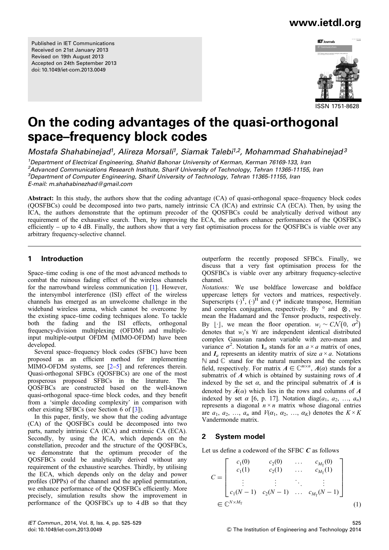Published in IET Communications Received on 21st January 2013 Revised on 19th August 2013 Accepted on 24th September 2013 doi: 10.1049/iet-com.2013.0049

### www.ietdl.org



# On the coding advantages of the quasi-orthogonal space–frequency block codes

Mostafa Shahabinejad<sup>1</sup>, Alireza Morsali<sup>1</sup>, Siamak Talebi<sup>1,2</sup>, Mohammad Shahabinejad<sup>3</sup>

<sup>1</sup>Department of Electrical Engineering, Shahid Bahonar University of Kerman, Kerman 76169-133, Iran <sup>2</sup>Advanced Communications Research Institute, Sharif University of Technology, Tehran 11365-11155, Iran <sup>3</sup>Department of Computer Engineering, Sharif University of Technology, Tehran 11365-11155, Iran E-mail: m.shahabinezhad@gmail.com

Abstract: In this study, the authors show that the coding advantage (CA) of quasi-orthogonal space–frequency block codes (QOSFBCs) could be decomposed into two parts, namely intrinsic CA (ICA) and extrinsic CA (ECA). Then, by using the ICA, the authors demonstrate that the optimum precoder of the QOSFBCs could be analytically derived without any requirement of the exhaustive search. Then, by improving the ECA, the authors enhance performances of the QOSFBCs efficiently – up to 4 dB. Finally, the authors show that a very fast optimisation process for the QOSFBCs is viable over any arbitrary frequency-selective channel.

#### 1 Introduction

Space–time coding is one of the most advanced methods to combat the ruinous fading effect of the wireless channels for the narrowband wireless communication [1]. However, the intersymbol interference (ISI) effect of the wireless channels has emerged as an unwelcome challenge in the wideband wireless arena, which cannot be overcome by the existing space–time coding techniques alone. To tackle both the fading and the ISI effects, orthogonal frequency-division multiplexing (OFDM) and multipleinput multiple-output OFDM (MIMO-OFDM) have been developed.

Several space–frequency block codes (SFBC) have been proposed as an efficient method for implementing MIMO-OFDM systems, see [2–5] and references therein. Quasi-orthogonal SFBCs (QOSFBCs) are one of the most prosperous proposed SFBCs in the literature. The QOSFBCs are constructed based on the well-known quasi-orthogonal space–time block codes, and they benefit from a 'simple decoding complexity' in comparison with other existing SFBCs (see Section 6 of [3]).

In this paper, firstly, we show that the coding advantage (CA) of the QOSFBCs could be decomposed into two parts, namely intrinsic CA (ICA) and extrinsic CA (ECA). Secondly, by using the ICA, which depends on the constellation, precoder and the structure of the QOSFBCs, we demonstrate that the optimum precoder of the QOSFBCs could be analytically derived without any requirement of the exhaustive searches. Thirdly, by utilising the ECA, which depends only on the delay and power profiles (DPPs) of the channel and the applied permutation, we enhance performance of the QOSFBCs efficiently. More precisely, simulation results show the improvement in performance of the QOSFBCs up to 4 dB so that they outperform the recently proposed SFBCs. Finally, we discuss that a very fast optimisation process for the QOSFBCs is viable over any arbitrary frequency-selective channel.

Notations: We use boldface lowercase and boldface uppercase letters for vectors and matrices, respectively. Superscripts  $(\cdot)^T$ ,  $(\cdot)^H$  and  $(\cdot)^*$  indicate transpose, Hermitian and complex conjugation, respectively. By  $\circ$  and  $\otimes$ , we mean the Hadamard and the Tensor products, respectively. By [·], we mean the floor operation.  $w_i \sim C\mathcal{N}(0, \sigma^2)$ denotes that  $w_i$ 's  $\forall i$  are independent identical distributed complex Gaussian random variable with zero-mean and variance  $\sigma^2$ . Notation  $\mathbf{1}_a$  stands for an  $a \times a$  matrix of ones, and  $I_a$  represents an identity matrix of size  $a \times a$ . Notations  $\mathbb N$  and  $\mathbb C$  stand for the natural numbers and the complex field, respectively. For matrix  $A \in \mathbb{C}^{m \times n}$ ,  $A(\alpha)$  stands for a submatrix of  $\vec{A}$  which is obtained by sustaining rows of  $\vec{A}$ indexed by the set  $\alpha$ , and the principal submatrix of A is denoted by  $\overrightarrow{A}(\alpha)$  which lies in the rows and columns of  $\overrightarrow{A}$ indexed by set  $\alpha$  [6, p. 17]. Notation diag( $a_1, a_2, ..., a_n$ ) represents a diagonal  $n \times n$  matrix whose diagonal entries are  $a_1, a_2, \ldots, a_n$  and  $V(\alpha_1, \alpha_2, \ldots, \alpha_k)$  denotes the  $K \times K$ Vandermonde matrix.

### 2 System model

Let us define a codeword of the SFBC  $C$  as follows

$$
C = \begin{bmatrix} c_1(0) & c_2(0) & \cdots & c_{M_{\text{T}}}(0) \\ c_1(1) & c_2(1) & \cdots & c_{M_{\text{T}}}(1) \\ \vdots & \vdots & \ddots & \vdots \\ c_1(N-1) & c_2(N-1) & \cdots & c_{M_{\text{T}}}(N-1) \end{bmatrix}
$$
  

$$
\in \mathbb{C}^{N \times M_{\text{T}}} \tag{1}
$$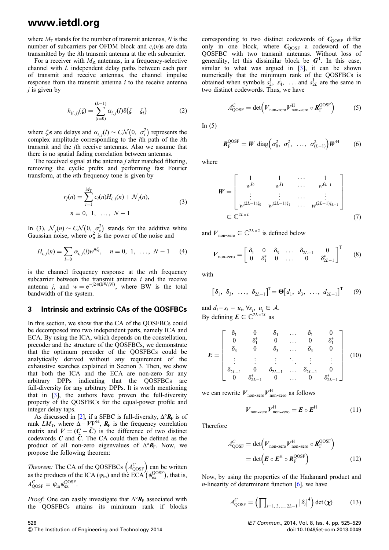## www.ietdl.org

where  $M_T$  stands for the number of transmit antennas, N is the number of subcarriers per OFDM block and  $c_i(n)$ s are data transmitted by the ith transmit antenna at the nth subcarrier.

For a receiver with  $M_R$  antennas, in a frequency-selective channel with L independent delay paths between each pair of transmit and receive antennas, the channel impulse response from the transmit antenna *i* to the receive antenna  $j$  is given by

$$
h_{(i,j)}(\zeta) = \sum_{(l=0)}^{(L-1)} \alpha_{i,j}(l)\delta(\zeta - \zeta_l)
$$
 (2)

where  $\zeta_i$ s are delays and  $\alpha_{i,j}(l) \sim \mathcal{CN}\left(0, \sigma_l^2\right)$  represents the complex amplitude corresponding to the *l*th path of the *i*th transmit and the jth receive antennas. Also we assume that there is no spatial fading correlation between antennas.

The received signal at the antenna  $j$  after matched filtering, removing the cyclic prefix and performing fast Fourier transform, at the nth frequency tone is given by

$$
r_j(n) = \sum_{i=1}^{M_T} c_i(n) H_{i,j}(n) + \mathcal{N}_j(n),
$$
  
\n
$$
n = 0, 1, \dots, N - 1
$$
\n(3)

In (3),  $\mathcal{N}_j(n) \sim C\mathcal{N}\left(0, \sigma_n^2\right)$  stands for the additive white Gaussian noise, where  $\sigma_n^2$  is the power of the noise and

$$
H_{i,j}(n) = \sum_{l=0} \alpha_{i,j}(l) w^{n\zeta_l}, \quad n = 0, 1, \dots, N-1 \quad (4)
$$

is the channel frequency response at the nth frequency subcarrier between the transmit antenna  $i$  and the receive antenna *j*, and  $w = e^{-j2\pi(BW/N)}$ , where BW is the total bandwidth of the system.

#### 3 Intrinsic and extrinsic CAs of the QOSFBCs

In this section, we show that the CA of the QOSFBCs could be decomposed into two independent parts, namely ICA and ECA. By using the ICA, which depends on the constellation, precoder and the structure of the QOSFBCs, we demonstrate that the optimum precoder of the QOSFBCs could be analytically derived without any requirement of the exhaustive searches explained in Section 3. Then, we show that both the ICA and the ECA are non-zero for any arbitrary DPPs indicating that the QOSFBCs are full-diversity for any arbitrary DPPs. It is worth mentioning that in [3], the authors have proven the full-diversity property of the QOSFBCs for the equal-power profile and integer delay taps.

As discussed in [2], if a SFBC is full-diversity,  $\Delta^{\circ}$ **R**<sub>F</sub> is of rank  $LM_T$ , where  $\Delta = VV^H$ ,  $R_F$  is the frequency correlation matrix and  $V = (C - \tilde{C})$  is the difference of two distinct codewords  $C$  and  $\tilde{C}$ . The CA could then be defined as the product of all non-zero eigenvalues of  $\Delta^{\circ}R_F$ . Now, we propose the following theorem:

*Theorem:* The CA of the QOSFBCs  $(A_{\text{QOSF}}^C)$  can be written as the products of the ICA ( $\psi_{\text{in}}$ ) and the ECA ( $\psi_{\text{ex}}^{\text{OOSF}}$ ), that is,  $A_{\text{QOSF}}^C = \psi_{\text{in}} \psi_{\text{ex}}^{\text{QOSF}}.$ 

*Proof:* One can easily investigate that  $\Delta^{\circ}$ **R**<sub>F</sub> associated with the QOSFBCs attains its minimum rank if blocks corresponding to two distinct codewords of  $C_{\text{OOSF}}$  differ only in one block, where  $C_{\text{OOSF}}$  a codeword of the QOSFBC with two transmit antennas. Without loss of generality, let this dissimilar block be  $G^1$ . In this case, similar to what was argued in [3], it can be shown numerically that the minimum rank of the QOSFBCs is obtained when symbols  $s_2^1$ ,  $s_4^1$ , ... and  $s_{2L}^1$  are the same in two distinct codewords. Thus, we have

$$
A_{\text{QOSF}}^C = \det(V_{\text{non-zero}} V_{\text{non-zero}}^H \circ \mathbf{R}_{\text{F}}^{\text{QOSF}})
$$
 (5)

In  $(5)$ 

$$
\boldsymbol{R}_{\mathrm{F}}^{\mathrm{QOSF}} = \boldsymbol{W} \operatorname{diag} \left( \sigma_0^2, \sigma_1^2, \ldots, \sigma_{(L-1)}^2 \right) \boldsymbol{W}^{\mathrm{H}} \qquad (6)
$$

where

$$
W = \begin{bmatrix} 1 & 1 & \cdots & 1 \\ w^{\zeta_0} & w^{\zeta_1} & \cdots & w^{\zeta_{L-1}} \\ \vdots & \vdots & \cdots & \vdots \\ w^{(2L-1)\zeta_0} & w^{(2L-1)\zeta_1} & \cdots & w^{(2L-1)\zeta_{L-1}} \end{bmatrix}
$$
  

$$
\in \mathbb{C}^{2L \times L}
$$
 (7)

and  $V_{\text{non-zero}} \in \mathbb{C}^{2L \times 2}$  is defined below

$$
V_{\text{non-zero}} = \begin{bmatrix} \delta_1 & 0 & \delta_3 & \dots & \delta_{2L-1} & 0 \\ 0 & \delta_1^* & 0 & \dots & 0 & \delta_{2L-1}^* \end{bmatrix}^T
$$
 (8)

with

$$
\begin{bmatrix} \delta_1, & \delta_3, & \dots, & \delta_{2L-1} \end{bmatrix}^T = \mathbf{\Theta} \begin{bmatrix} d_1, & d_3, & \dots, & d_{2L-1} \end{bmatrix}^T
$$
 (9)

and  $d_i = s_i - u_i$ ,  $\forall s_i$ ,  $u_i \in \mathcal{A}$ . By defining  $E \in \mathbb{C}^{2L \times 2L}$  as

$$
E = \begin{bmatrix} \delta_1 & 0 & \delta_1 & \dots & \delta_1 & 0 \\ 0 & \delta_1^* & 0 & \dots & 0 & \delta_1^* \\ \delta_3 & 0 & \delta_3 & \dots & \delta_3 & 0 \\ \vdots & \vdots & \vdots & \ddots & \vdots & \vdots \\ \delta_{2L-1} & 0 & \delta_{2L-1} & \dots & \delta_{2L-1} & 0 \\ 0 & \delta_{2L-1}^* & 0 & \dots & 0 & \delta_{2L-1}^* \end{bmatrix}
$$
 (10)

we can rewrite  $V_{\text{non-zero}} V_{\text{non-zero}}^{\text{H}}$  as follows

$$
V_{\text{non-zero}} V_{\text{non-zero}}^{\text{H}} = E \circ E^{\text{H}}
$$
 (11)

Therefore

$$
A_{\text{QOSF}}^C = \det(V_{\text{non-zero}} V_{\text{non-zero}}^{\text{H}} \circ \mathbf{R}_{\text{F}}^{\text{QOSF}})
$$
  
= 
$$
\det(\mathbf{E} \circ \mathbf{E}^{\text{H}} \circ \mathbf{R}_{\text{F}}^{\text{QOSF}})
$$
 (12)

Now, by using the properties of the Hadamard product and *n*-linearity of determinant function  $[6]$ , we have

$$
A_{\text{QOSF}}^C = \left(\prod_{i=1,3,\dots,2L-1} |\delta_i|^4\right) \det(\chi) \tag{13}
$$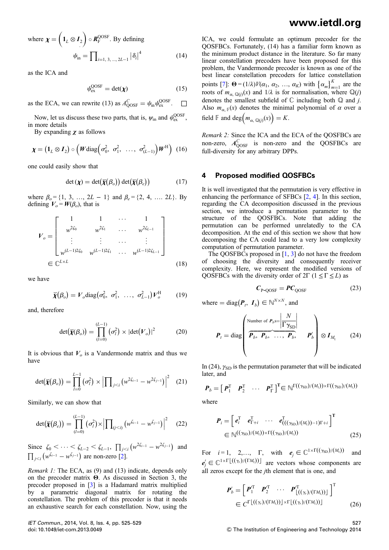where 
$$
\chi = \left( \mathbf{1}_L \otimes \mathbf{I}_2 \right) \circ \mathbf{R}_{\mathrm{F}}^{\mathrm{OOSF}}
$$
. By defining  
\n
$$
\psi_{\mathrm{in}} = \prod_{i=1, 3, \dots, 2L-1} \left| \delta_i \right|^4 \tag{14}
$$

as the ICA and

$$
\psi_{\text{ex}}^{\text{QOSF}} = \det(\chi) \tag{15}
$$

as the ECA, we can rewrite (13) as  $A_{\text{QOSF}}^C = \psi_{\text{in}} \psi_{\text{ex}}^{\text{QOSF}}$ .  $\Box$ 

Now, let us discuss these two parts, that is,  $\psi_{\text{in}}$  and  $\psi_{\text{ex}}^{\text{QOSF}}$ , in more details

By expanding  $\chi$  as follows

$$
\boldsymbol{\chi} = \left( \mathbf{1}_L \otimes \mathbf{1}_2 \right) \circ \left( \boldsymbol{W} \text{diag} \left( \sigma_0^2, \ \sigma_1^2, \ \ldots, \ \sigma_{(L-1)}^2 \right) \boldsymbol{W}^{\text{H}} \right) \tag{16}
$$

one could easily show that

$$
\det(\boldsymbol{\chi}) = \det(\boldsymbol{\breve{\chi}}(\boldsymbol{\beta}_o)) \det(\boldsymbol{\breve{\chi}}(\boldsymbol{\beta}_e)) \tag{17}
$$

where  $\beta_0 = \{1, 3, ..., 2L - 1\}$  and  $\beta_e = \{2, 4, ..., 2L\}$ . By defining  $V_o = W(\beta_o)$ , that is

$$
V_o = \begin{bmatrix} 1 & 1 & \cdots & 1 \\ w^{2\zeta_0} & w^{2\zeta_1} & \cdots & w^{2\zeta_{L-1}} \\ \vdots & \vdots & \cdots & \vdots \\ w^{(L-1)2\zeta_0} & w^{(L-1)2\zeta_1} & \cdots & w^{(L-1)2\zeta_{L-1}} \end{bmatrix}
$$
  

$$
\in \mathbb{C}^{L \times L}
$$
 (18)

we have

$$
\breve{\boldsymbol{\chi}}(\boldsymbol{\beta}_o) = \boldsymbol{V}_o \text{diag}\big(\sigma_0^2, \ \sigma_1^2, \ \ldots, \ \sigma_{L-1}^2\big) \boldsymbol{V}_o^{\text{H}} \qquad (19)
$$

and, therefore

$$
\det(\widetilde{\chi}(\beta_o)) = \prod_{(l=0)}^{(L-1)} (\sigma_l^2) \times |\det(V_o)|^2 \tag{20}
$$

It is obvious that  $V<sub>o</sub>$  is a Vandermonde matrix and thus we have

$$
\det(\breve{\chi}(\beta_o)) = \prod_{l=0}^{L-1} (\sigma_l^2) \times \left| \prod_{j < i} (w^{2\zeta_{i-1}} - w^{2\zeta_{j-1}}) \right|^2 \tag{21}
$$

Similarly, we can show that

$$
\det(\breve{\bm{\chi}}(\beta_e)) = \prod_{(l=0)}^{(L-1)} (\sigma_l^2) \times \left| \prod_{(j < i)} \left( w^{\xi_{i-1}} - w^{\xi_{j-1}} \right) \right|^2 \tag{22}
$$

Since  $\zeta_0 < \cdots < \zeta_{L-2} < \zeta_{L-1}$ ,  $\prod_{j < i} (w^{2\zeta_{i-1}} - w^{2\zeta_{j-1}})$  and  $\prod_{j < i} (w^{\xi_{i-1}} - w^{\xi_{j-1}})$  are non-zero [2].

Remark 1: The ECA, as (9) and (13) indicate, depends only on the precoder matrix Θ. As discussed in Section 3, the precoder proposed in [3] is a Hadamard matrix multiplied by a parametric diagonal matrix for rotating the constellation. The problem of this precoder is that it needs an exhaustive search for each constellation. Now, using the

IET Commun., 2014, Vol. 8, Iss. 4, pp. 525–529 doi: 10.1049/iet-com.2013.0049

### www.ietdl.org

ICA, we could formulate an optimum precoder for the QOSFBCs. Fortunately, (14) has a familiar form known as the minimum product distance in the literature. So far many linear constellation precoders have been proposed for this problem, the Vandermonde precoder is known as one of the best linear constellation precoders for lattice constellation points [7]:  $\mathbf{\Theta} = (1/\lambda)V(\alpha_1, \alpha_2, ..., \alpha_K)$  with  $\{\alpha_m\}_{m=1}^K$  are the roots of  $m_{\alpha, \mathbb{Q}(i)}(x)$  and  $1/\lambda$  is for normalisation, where  $\mathbb{Q}(i)$ denotes the smallest subfield of  $\mathbb C$  including both  $\mathbb Q$  and *j*. Also  $m_{\alpha}$ <sub>F</sub>(x) denotes the minimal polynomial of  $\alpha$  over a field  $\mathbb F$  and  $\deg(m_{\alpha, \mathbb Q(j)}(x)) = K$ .

Remark 2: Since the ICA and the ECA of the QOSFBCs are non-zero,  $A_{QOSF}^C$  is non-zero and the QOSFBCs are full-diversity for any arbitrary DPPs.

#### 4 Proposed modified QOSFBCs

It is well investigated that the permutation is very effective in enhancing the performance of SFBCs [2, 4]. In this section, regarding the CA decomposition discussed in the previous section, we introduce a permutation parameter to the structure of the QOSFBCs. Note that adding the permutation can be performed unrelatedly to the CA decomposition. At the end of this section we show that how decomposing the CA could lead to a very low complexity computation of permutation parameter.

The QOSFBCs proposed in [1, 3] do not have the freedom of choosing the diversity and consequently receiver complexity. Here, we represent the modified versions of QOSFBCs with the diversity order of  $2\Gamma$  ( $1 \le \Gamma \le L$ ) as

$$
C_{P\text{-}QOSF} = PC_{QOSF} \tag{23}
$$

where  $= diag(P_t, I_b) \in \mathbb{N}^{N \times N}$ , and

$$
\boldsymbol{P}_{t} = \text{diag}\left(\begin{array}{ccc} \text{Number of } \boldsymbol{P}_{b} \text{se} & N \\ \hline \boldsymbol{P}_{b}, & \boldsymbol{P}_{b}, & \dots, & \boldsymbol{P}_{b}, \\ \end{array}\right) \quad \boldsymbol{P}_{b} \quad \boldsymbol{P}_{b}' \quad \boldsymbol{P}_{b}' \quad \boldsymbol{Q} \boldsymbol{I}_{M_{t}} \qquad (24)
$$

In (24),  $\gamma_{SD}$  is the permutation parameter that will be indicated later, and

$$
\boldsymbol{P}_b = \begin{bmatrix} \boldsymbol{P}_1^{\mathrm{T}} & \boldsymbol{P}_2^{\mathrm{T}} & \cdots & \boldsymbol{P}_{\Gamma}^{\mathrm{T}} \end{bmatrix}^{\mathrm{T}} \in \mathbb{N}^{\Gamma((\gamma_{\mathrm{SD}})/(M_{\mathrm{t}})) \times \Gamma((\gamma_{\mathrm{SD}})/(M_{\mathrm{t}}))}
$$

where

$$
\boldsymbol{P}_{i} = \begin{bmatrix} \boldsymbol{e}_{i}^{T} & \boldsymbol{e}_{\Gamma+i}^{T} & \cdots & \boldsymbol{e}_{((\gamma_{\text{SD}})/(M_{\text{t}}))-1)\Gamma+i}^{T} \end{bmatrix}^{T}
$$
\n
$$
\in \mathbb{N}^{((\gamma_{\text{SD}})/(M_{\text{t}})) \times \Gamma((\gamma_{\text{SD}})/(M_{\text{t}}))} \tag{25}
$$

For  $i = 1, 2,..., \Gamma$ , with  $e_j \in \mathbb{C}^{1 \times \Gamma((\gamma_{SD})/(M_t))}$  and  $e'_{j} \in \mathbb{C}^{1 \times \Gamma \lfloor ((\gamma_{r})/(\Gamma M_{t})) \rfloor}$  are vectors whose components are all zeros except for the jth element that is one, and

$$
\mathbf{P}'_b = \begin{bmatrix} \mathbf{P}_1^{\mathrm{T}} & \mathbf{P}_2^{\mathrm{T}} & \cdots & \mathbf{P}_{\lfloor((\gamma_r)/(\mathrm{T}M_t))\rfloor}^{\mathrm{T}} \end{bmatrix}^{\mathrm{T}} \in C^{\Gamma \lfloor ((\gamma_r)/(\mathrm{T}M_t)) \rfloor \times \Gamma \lfloor ((\gamma_r)/(\mathrm{T}M_t)) \rfloor} \tag{26}
$$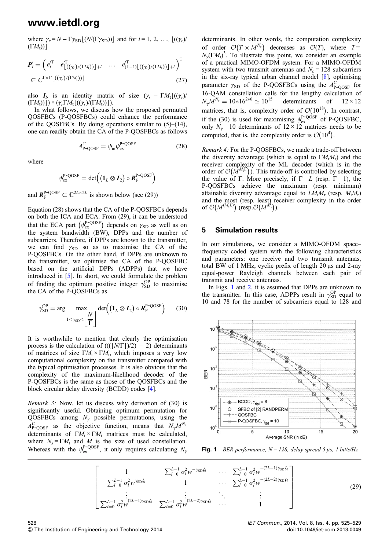### www.ietdl.org

where  $\gamma_r = N - \Gamma \gamma_{SD} \left[ \frac{N}{\Gamma \gamma_{SD}} \right]$  and for  $i = 1, 2, ..., \left[ \frac{(\gamma_r)}{r} \right]$  $(TM_t))$ 

$$
\mathbf{P}'_i = \left( \boldsymbol{e}_i^T \boldsymbol{e}_{\lfloor ((\gamma_r)/(\Gamma M_t)) \rfloor + i}^T \cdots \boldsymbol{e}_{(\Gamma-1)\lfloor ((\gamma_r)/(\Gamma M_t)) \rfloor + i}^T \right)^T
$$
\n
$$
\in C^{\Gamma \times \Gamma \lfloor ((\gamma_r)/(\Gamma M_t)) \rfloor} \tag{27}
$$

also  $I_b$  is an identity matrix of size  $(\gamma_r - \Gamma M_t \lfloor ((\gamma_r)/\gamma_r \rfloor))$  $(\Gamma M_t))$  $\geq \frac{\gamma_r \Gamma M_t \left[ \left( \frac{\gamma_r}{\Gamma M_t} \right) - \left( \frac{\gamma_r}{\Gamma M_t} \right) \right]}{r}.$ 

In what follows, we discuss how the proposed permuted QOSFBCs (P-QOSFBCs) could enhance the performance of the QOSFBCs. By doing operations similar to  $(5)$ – $(14)$ , one can readily obtain the CA of the P-QOSFBCs as follows

$$
A_{\text{P-QOSF}}^C = \psi_{\text{in}} \psi_{\text{ex}}^{\text{P-QOSF}} \tag{28}
$$

where

$$
\psi_{ex}^{P\text{-QOSF}}=\text{det}\Big(\big(\mathbf{1}_L\otimes \mathbf{I}_2\big)\circ \textit{\textbf{R}}_F^{P\text{-QOSF}}\Big)
$$

and  $\mathbf{R}_{\mathrm{F}}^{\mathrm{P-QOSF}} \in \mathbb{C}^{2L \times 2L}$  is shown below (see (29))

Equation (28) shows that the CA of the P-QOSFBCs depends on both the ICA and ECA. From (29), it can be understood that the ECA part  $(\psi_{\text{ex}}^{\text{P-QOSF}})$  depends on  $\gamma_{\text{SD}}$  as well as on the system bandwidth (BW), DPPs and the number of subcarriers. Therefore, if DPPs are known to the transmitter, we can find  $\gamma_{SD}$  so as to maximise the CA of the P-QOSFBCs. On the other hand, if DPPs are unknown to the transmitter, we optimise the CA of the P-QOSFBC based on the artificial DPPs (ADPPs) that we have introduced in [5]. In short, we could formulate the problem of finding the optimum positive integer  $\gamma_{SD}^{OP}$  to maximise the CA of the P-QOSFBCs as

$$
\gamma_{\text{SD}}^{\text{OP}} = \arg \max_{1 < \gamma_{\text{SD}} < \left| \frac{N}{\Gamma} \right|} \det \left( \left( \mathbf{1}_L \otimes \mathbf{I}_2 \right) \circ \mathbf{R}_{\text{F}}^{\text{P-QOSF}} \right) \tag{30}
$$

It is worthwhile to mention that clearly the optimisation process is the calculation of  $(((\lfloor N/\Gamma \rfloor)/2) - 2)$  determinants of matrices of size  $\Gamma M_t \times \Gamma M_t$ , which imposes a very low computational complexity on the transmitter compared with the typical optimisation processes. It is also obvious that the complexity of the maximum-likelihood decoder of the P-QOSFBCs is the same as those of the QOSFBCs and the block circular delay diversity (BCDD) codes [4].

Remark 3: Now, let us discuss why derivation of (30) is significantly useful. Obtaining optimum permutation for QOSFBCs among  $N_{\gamma}$  possible permutations, using the  $A_{\text{P-QOSF}}^C$  as the objective function, means that  $N_{\gamma}M^{N_s}$ determinants of  $\Gamma M_t \times \Gamma M_t$  matrices must be calculated, where  $N_s = \Gamma M_t$  and M is the size of used constellation. Whereas with the  $\psi_{\text{ex}}^{\text{P-QOSF}}$ , it only requires calculating  $N_{\gamma}$ 

determinants. In other words, the computation complexity of order  $\mathcal{O}(T \times M^{N_s})$  decreases as  $\mathcal{O}(T)$ , where  $T =$  $N_{\gamma}(\Gamma M_t)^3$ . To illustrate this point, we consider an example of a practical MIMO-OFDM system. For a MIMO-OFDM system with two transmit antennas and  $N_c = 128$  subcarriers in the six-ray typical urban channel model [8], optimising parameter  $\gamma_{SD}$  of the P-QOSFBCs using the  $A_{P-QOSF}^C$  for 16-QAM constellation calls for the lengthy calculation of  $N_{\gamma}M^{N_s} = 10*16^{2*6} \simeq 10^{15}$  determinants of  $12 \times 12$ matrices, that is, complexity order of  $\mathcal{O}(10^{18})$ . In contrast, if the (30) is used for maximising  $\psi_{\text{ex}}^{\text{P-QOSF}}$  of P-QOSFBC, only  $N_{\gamma} = 10$  determinants of  $12 \times 12$  matrices needs to be computed, that is, the complexity order is  $\mathcal{O}(10^4)$ .

Remark 4: For the P-QOSFBCs, we made a trade-off between the diversity advantage (which is equal to  $\Gamma M_t M_r$ ) and the receiver complexity of the ML decoder (which is in the order of  $\mathcal{O}(M^{M_1\Gamma})$ ). This trade-off is controlled by selecting the value of Γ. More precisely, if  $\Gamma = L$  (resp.  $\Gamma = 1$ ), the P-QOSFBCs achieve the maximum (resp. minimum) attainable diversity advantage equal to  $LM_tM_r$  (resp.  $M_tM_r$ ) and the most (resp. least) receiver complexity in the order of  $\mathcal{O}(M^{(M_tL)})$  (resp.  $\mathcal{O}(M^{M_t})$ ).

#### 5 Simulation results

In our simulations, we consider a MIMO-OFDM space– frequency coded system with the following characteristics and parameters: one receive and two transmit antennas, total BW of 1 MHz, cyclic prefix of length 20 μs and 2-ray equal-power Rayleigh channels between each pair of transmit and receive antennas.

In Figs. 1 and 2, it is assumed that DPPs are unknown to the transmitter. In this case, ADPPs result in  $\gamma_{SD}^{OP}$  equal to 10 and 78 for the number of subcarriers equal to 128 and



Fig. 1 BER performance,  $N = 128$ , delay spread 5  $\mu$ s, 1 bit/s/Hz

$$
\begin{bmatrix}\n1 & \sum_{l=0}^{L-1} \sigma_l^2 w^{-\gamma_{\text{SD}} \zeta_l} & \cdots & \sum_{l=0}^{L-1} \sigma_l^2 w^{-(2L-1)\gamma_{\text{SD}} \zeta_l} \\
\sum_{l=0}^{L-1} \sigma_l^2 w^{\gamma_{\text{SD}} \zeta_l} & 1 & \cdots & \sum_{l=0}^{L-1} \sigma_l^2 w^{-(2L-2)\gamma_{\text{SD}} \zeta_l} \\
\vdots & \vdots & \ddots & \vdots \\
\sum_{l=0}^{L-1} \sigma_l^2 w^{(2L-1)\gamma_{\text{SD}} \zeta_l} & \sum_{l=0}^{L-1} \sigma_l^2 w^{(2L-2)\gamma_{\text{SD}} \zeta_l} & \cdots & 1\n\end{bmatrix}
$$
\n(29)